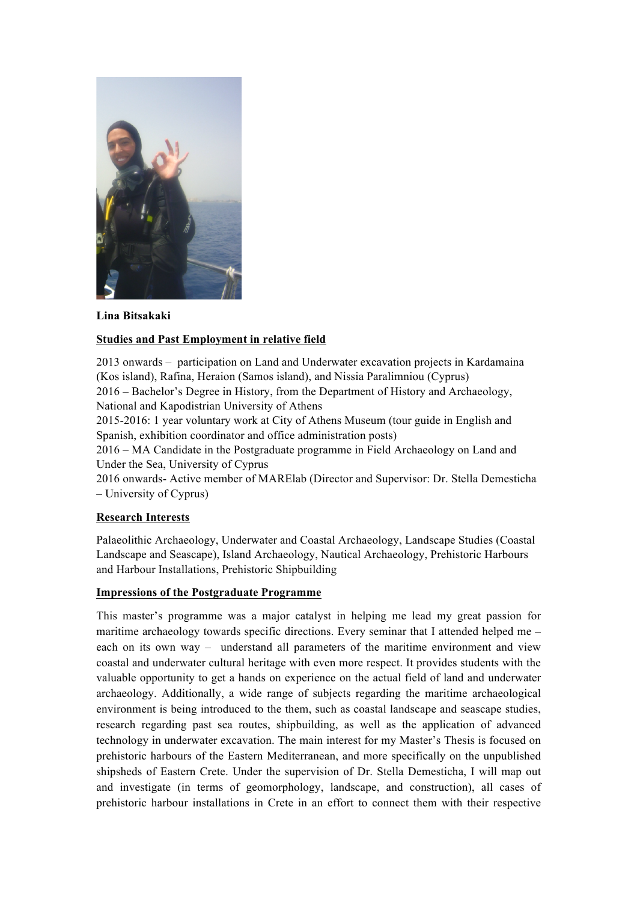

**Lina Bitsakaki**

## **Studies and Past Employment in relative field**

2013 onwards – participation on Land and Underwater excavation projects in Kardamaina (Kos island), Rafina, Heraion (Samos island), and Nissia Paralimniou (Cyprus) 2016 – Bachelor's Degree in History, from the Department of History and Archaeology, National and Kapodistrian University of Athens

2015-2016: 1 year voluntary work at City of Athens Museum (tour guide in English and Spanish, exhibition coordinator and office administration posts)

2016 – MA Candidate in the Postgraduate programme in Field Archaeology on Land and Under the Sea, University of Cyprus

2016 onwards- Active member of MARElab (Director and Supervisor: Dr. Stella Demesticha – University of Cyprus)

## **Research Interests**

Palaeolithic Archaeology, Underwater and Coastal Archaeology, Landscape Studies (Coastal Landscape and Seascape), Island Archaeology, Nautical Archaeology, Prehistoric Harbours and Harbour Installations, Prehistoric Shipbuilding

## **Impressions of the Postgraduate Programme**

This master's programme was a major catalyst in helping me lead my great passion for maritime archaeology towards specific directions. Every seminar that I attended helped me  $$ each on its own way – understand all parameters of the maritime environment and view coastal and underwater cultural heritage with even more respect. It provides students with the valuable opportunity to get a hands on experience on the actual field of land and underwater archaeology. Additionally, a wide range of subjects regarding the maritime archaeological environment is being introduced to the them, such as coastal landscape and seascape studies, research regarding past sea routes, shipbuilding, as well as the application of advanced technology in underwater excavation. The main interest for my Master's Thesis is focused on prehistoric harbours of the Eastern Mediterranean, and more specifically on the unpublished shipsheds of Eastern Crete. Under the supervision of Dr. Stella Demesticha, I will map out and investigate (in terms of geomorphology, landscape, and construction), all cases of prehistoric harbour installations in Crete in an effort to connect them with their respective